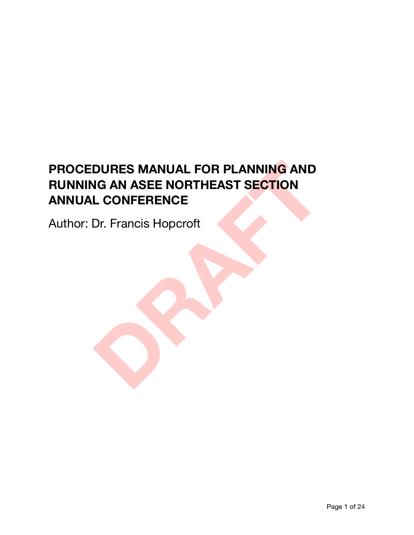# DURES MANUAL FOR PLANNING AND<br>IG AN ASEE NORTHEAST SECTION<br>L CONFERENCE<br>Dr. Francis Hopcroft **PROCEDURES MANUAL FOR PLANNING AND RUNNING AN ASEE NORTHEAST SECTION ANNUAL CONFERENCE**

Author: Dr. Francis Hopcroft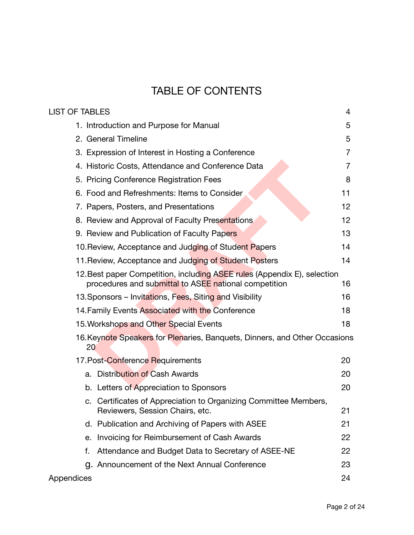## TABLE OF CONTENTS

| <b>LIST OF TABLES</b> |                                                                                                                                   | 4  |  |  |  |  |  |
|-----------------------|-----------------------------------------------------------------------------------------------------------------------------------|----|--|--|--|--|--|
|                       | 1. Introduction and Purpose for Manual                                                                                            | 5  |  |  |  |  |  |
|                       | 2. General Timeline                                                                                                               |    |  |  |  |  |  |
|                       | 3. Expression of Interest in Hosting a Conference                                                                                 |    |  |  |  |  |  |
|                       | 4. Historic Costs, Attendance and Conference Data                                                                                 | 7  |  |  |  |  |  |
|                       | 5. Pricing Conference Registration Fees                                                                                           | 8  |  |  |  |  |  |
|                       | 6. Food and Refreshments: Items to Consider                                                                                       | 11 |  |  |  |  |  |
|                       | 7. Papers, Posters, and Presentations                                                                                             | 12 |  |  |  |  |  |
|                       | 8. Review and Approval of Faculty Presentations                                                                                   | 12 |  |  |  |  |  |
|                       | 9. Review and Publication of Faculty Papers                                                                                       | 13 |  |  |  |  |  |
|                       | 10. Review, Acceptance and Judging of Student Papers                                                                              | 14 |  |  |  |  |  |
|                       | 11. Review, Acceptance and Judging of Student Posters                                                                             | 14 |  |  |  |  |  |
|                       | 12. Best paper Competition, including ASEE rules (Appendix E), selection<br>procedures and submittal to ASEE national competition | 16 |  |  |  |  |  |
|                       | 13. Sponsors – Invitations, Fees, Siting and Visibility                                                                           | 16 |  |  |  |  |  |
|                       | 14. Family Events Associated with the Conference                                                                                  | 18 |  |  |  |  |  |
|                       | 15. Workshops and Other Special Events                                                                                            | 18 |  |  |  |  |  |
| 20                    | 16. Keynote Speakers for Plenaries, Banquets, Dinners, and Other Occasions                                                        |    |  |  |  |  |  |
|                       | 17. Post-Conference Requirements                                                                                                  | 20 |  |  |  |  |  |
|                       | a. Distribution of Cash Awards                                                                                                    | 20 |  |  |  |  |  |
|                       | b. Letters of Appreciation to Sponsors                                                                                            | 20 |  |  |  |  |  |
|                       | c. Certificates of Appreciation to Organizing Committee Members,<br>Reviewers, Session Chairs, etc                                | 21 |  |  |  |  |  |
|                       | d. Publication and Archiving of Papers with ASEE                                                                                  | 21 |  |  |  |  |  |
| е.                    | Invoicing for Reimbursement of Cash Awards                                                                                        | 22 |  |  |  |  |  |
| f.                    | Attendance and Budget Data to Secretary of ASEE-NE                                                                                | 22 |  |  |  |  |  |
|                       | g. Announcement of the Next Annual Conference                                                                                     | 23 |  |  |  |  |  |
| Appendices            |                                                                                                                                   | 24 |  |  |  |  |  |
|                       |                                                                                                                                   |    |  |  |  |  |  |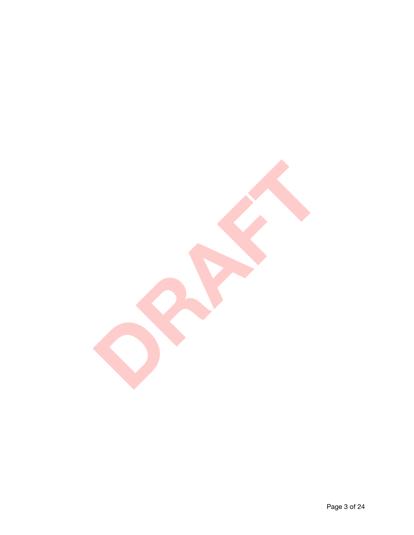**PRAFT**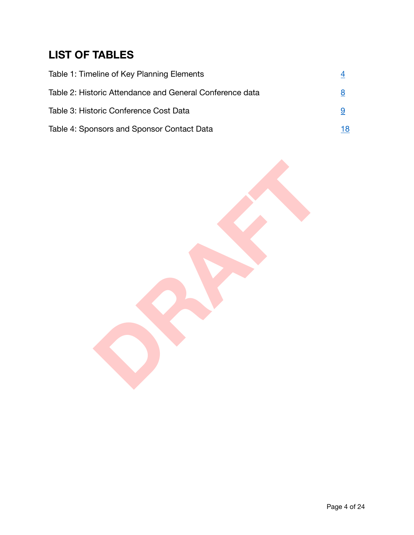# <span id="page-3-0"></span>**LIST OF TABLES**

| Table 1: Timeline of Key Planning Elements               |    |
|----------------------------------------------------------|----|
| Table 2: Historic Attendance and General Conference data |    |
| Table 3: Historic Conference Cost Data                   |    |
| Table 4: Sponsors and Sponsor Contact Data               | 18 |

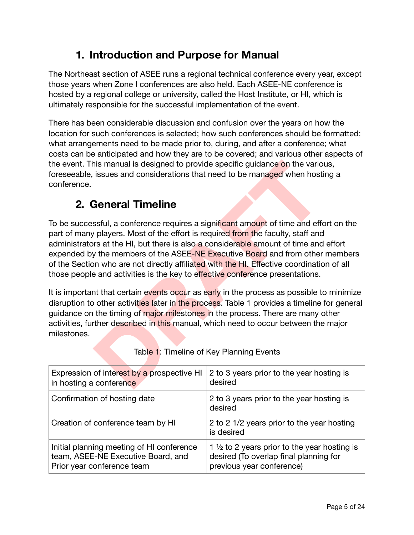## <span id="page-4-0"></span>**1. Introduction and Purpose for Manual**

The Northeast section of ASEE runs a regional technical conference every year, except those years when Zone I conferences are also held. Each ASEE-NE conference is hosted by a regional college or university, called the Host Institute, or HI, which is ultimately responsible for the successful implementation of the event.

There has been considerable discussion and confusion over the years on how the location for such conferences is selected; how such conferences should be formatted; what arrangements need to be made prior to, during, and after a conference; what costs can be anticipated and how they are to be covered; and various other aspects of the event. This manual is designed to provide specific guidance on the various, foreseeable, issues and considerations that need to be managed when hosting a conference.

## <span id="page-4-1"></span>**2. General Timeline**

nis manual is designed to provide specific guidance on the vario<br>
issues and considerations that need to be managed when host<br> **General Timeline**<br> **Stul**, a conference requires a significant amount of time and eff<br>
players To be successful, a conference requires a significant amount of time and effort on the part of many players. Most of the effort is required from the faculty, staff and administrators at the HI, but there is also a considerable amount of time and effort expended by the members of the ASEE-NE Executive Board and from other members of the Section who are not directly affiliated with the HI. Effective coordination of all those people and activities is the key to effective conference presentations.

It is important that certain events occur as early in the process as possible to minimize disruption to other activities later in the process. Table 1 provides a timeline for general guidance on the timing of major milestones in the process. There are many other activities, further described in this manual, which need to occur between the major milestones.

| Expression of interest by a prospective HI | 2 to 3 years prior to the year hosting is                |
|--------------------------------------------|----------------------------------------------------------|
| in hosting a conference                    | desired                                                  |
| Confirmation of hosting date               | 2 to 3 years prior to the year hosting is<br>desired     |
| Creation of conference team by HI          | 2 to 2 1/2 years prior to the year hosting<br>is desired |
| Initial planning meeting of HI conference  | 1 $\frac{1}{2}$ to 2 years prior to the year hosting is  |
| team, ASEE-NE Executive Board, and         | desired (To overlap final planning for                   |
| Prior year conference team                 | previous year conference)                                |

#### <span id="page-4-2"></span>Table 1: Timeline of Key Planning Events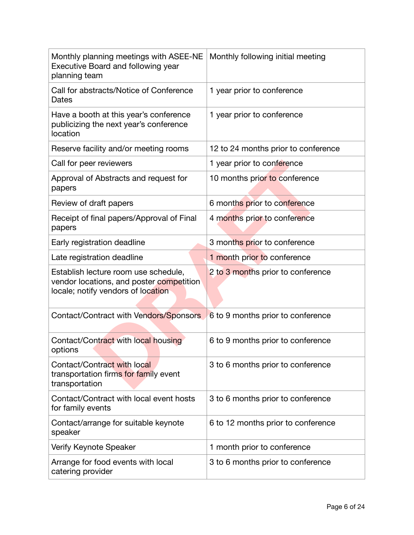| Monthly planning meetings with ASEE-NE<br><b>Executive Board and following year</b><br>planning team                   | Monthly following initial meeting   |  |  |  |
|------------------------------------------------------------------------------------------------------------------------|-------------------------------------|--|--|--|
| Call for abstracts/Notice of Conference<br>Dates                                                                       | 1 year prior to conference          |  |  |  |
| Have a booth at this year's conference<br>publicizing the next year's conference<br>location                           | 1 year prior to conference          |  |  |  |
| Reserve facility and/or meeting rooms                                                                                  | 12 to 24 months prior to conference |  |  |  |
| Call for peer reviewers                                                                                                | 1 year prior to conference          |  |  |  |
| Approval of Abstracts and request for<br>papers                                                                        | 10 months prior to conference       |  |  |  |
| Review of draft papers                                                                                                 | 6 months prior to conference        |  |  |  |
| Receipt of final papers/Approval of Final<br>papers                                                                    | 4 months prior to conference        |  |  |  |
| Early registration deadline                                                                                            | 3 months prior to conference        |  |  |  |
| Late registration deadline                                                                                             | 1 month prior to conference         |  |  |  |
| Establish lecture room use schedule,<br>vendor locations, and poster competition<br>locale; notify vendors of location | 2 to 3 months prior to conference   |  |  |  |
| Contact/Contract with Vendors/Sponsors                                                                                 | 6 to 9 months prior to conference   |  |  |  |
| Contact/Contract with local housing<br>options                                                                         | 6 to 9 months prior to conference   |  |  |  |
| Contact/Contract with local<br>transportation firms for family event<br>transportation                                 | 3 to 6 months prior to conference   |  |  |  |
| Contact/Contract with local event hosts<br>for family events                                                           | 3 to 6 months prior to conference   |  |  |  |
| Contact/arrange for suitable keynote<br>speaker                                                                        | 6 to 12 months prior to conference  |  |  |  |
| Verify Keynote Speaker                                                                                                 | 1 month prior to conference         |  |  |  |
| Arrange for food events with local<br>catering provider                                                                | 3 to 6 months prior to conference   |  |  |  |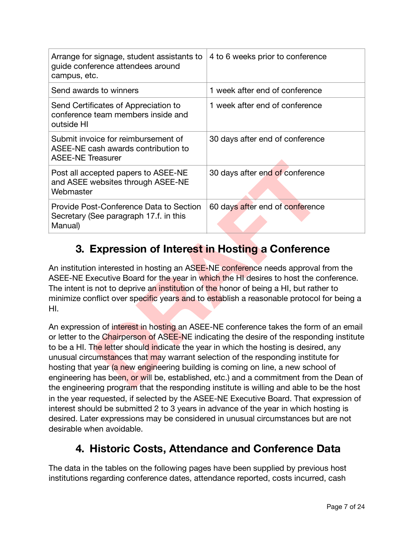| Arrange for signage, student assistants to<br>guide conference attendees around<br>campus, etc.                                                                                                                                                                                                                                                                                                                                                 | 4 to 6 weeks prior to conference                                                                                                                                                      |  |  |  |  |  |
|-------------------------------------------------------------------------------------------------------------------------------------------------------------------------------------------------------------------------------------------------------------------------------------------------------------------------------------------------------------------------------------------------------------------------------------------------|---------------------------------------------------------------------------------------------------------------------------------------------------------------------------------------|--|--|--|--|--|
| Send awards to winners                                                                                                                                                                                                                                                                                                                                                                                                                          | 1 week after end of conference                                                                                                                                                        |  |  |  |  |  |
| Send Certificates of Appreciation to<br>conference team members inside and<br>outside HI                                                                                                                                                                                                                                                                                                                                                        | 1 week after end of conference                                                                                                                                                        |  |  |  |  |  |
| Submit invoice for reimbursement of<br>ASEE-NE cash awards contribution to<br><b>ASEE-NE Treasurer</b>                                                                                                                                                                                                                                                                                                                                          | 30 days after end of conference                                                                                                                                                       |  |  |  |  |  |
| Post all accepted papers to ASEE-NE<br>and ASEE websites through ASEE-NE<br>Webmaster                                                                                                                                                                                                                                                                                                                                                           | 30 days after end of conference                                                                                                                                                       |  |  |  |  |  |
| Provide Post-Conference Data to Section<br>Secretary (See paragraph 17.f. in this<br>Manual)                                                                                                                                                                                                                                                                                                                                                    | 60 days after end of conference                                                                                                                                                       |  |  |  |  |  |
| 3. Expression of Interest in Hosting a Conference<br>An institution interested in hosting an ASEE-NE conference needs approval from the<br>ASEE-NE Executive Board for the year in which the HI desires to host the conference.<br>The intent is not to deprive an institution of the honor of being a HI, but rather to<br>minimize conflict over specific years and to establish a reasonable protocol for being a<br>HI.                     |                                                                                                                                                                                       |  |  |  |  |  |
| An expression of interest in hosting an ASEE-NE conference takes the form of an email<br>to be a HI. The letter should indicate the year in which the hosting is desired, any<br>unusual circumstances that may warrant selection of the responding institute for<br>hosting that year (a new engineering building is coming on line, a new school of<br>engineering has been, or will be, established, etc.) and a commitment from the Dean of | or letter to the Chairperson of ASEE-NE indicating the desire of the responding institute<br>the engineering program that the responding institute is willing and able to be the host |  |  |  |  |  |

## <span id="page-6-0"></span>**3. Expression of Interest in Hosting a Conference**

An expression of interest in hosting an ASEE-NE conference takes the form of an email or letter to the Chairperson of ASEE-NE indicating the desire of the responding institute to be a HI. The letter should indicate the year in which the hosting is desired, any unusual circumstances that may warrant selection of the responding institute for hosting that year (a new engineering building is coming on line, a new school of engineering has been, or will be, established, etc.) and a commitment from the Dean of the engineering program that the responding institute is willing and able to be the host in the year requested, if selected by the ASEE-NE Executive Board. That expression of interest should be submitted 2 to 3 years in advance of the year in which hosting is desired. Later expressions may be considered in unusual circumstances but are not desirable when avoidable.

## <span id="page-6-1"></span>**4. Historic Costs, Attendance and Conference Data**

The data in the tables on the following pages have been supplied by previous host institutions regarding conference dates, attendance reported, costs incurred, cash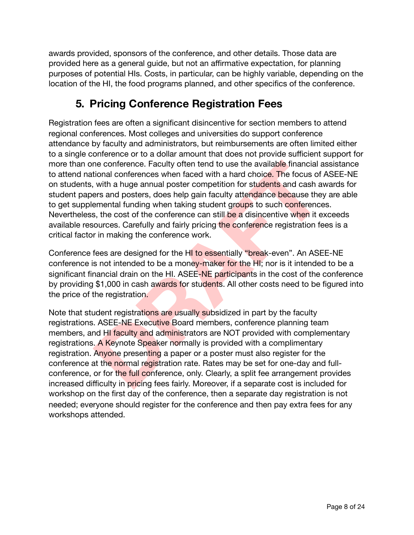awards provided, sponsors of the conference, and other details. Those data are provided here as a general guide, but not an affirmative expectation, for planning purposes of potential HIs. Costs, in particular, can be highly variable, depending on the location of the HI, the food programs planned, and other specifics of the conference.

## <span id="page-7-0"></span>**5. Pricing Conference Registration Fees**

Registration fees are often a significant disincentive for section members to attend regional conferences. Most colleges and universities do support conference attendance by faculty and administrators, but reimbursements are often limited either to a single conference or to a dollar amount that does not provide sufficient support for more than one conference. Faculty often tend to use the available financial assistance to attend national conferences when faced with a hard choice. The focus of ASEE-NE on students, with a huge annual poster competition for students and cash awards for student papers and posters, does help gain faculty attendance because they are able to get supplemental funding when taking student groups to such conferences. Nevertheless, the cost of the conference can still be a disincentive when it exceeds available resources. Carefully and fairly pricing the conference registration fees is a critical factor in making the conference work.

Conference fees are designed for the HI to essentially "break-even". An ASEE-NE conference is not intended to be a money-maker for the HI; nor is it intended to be a significant financial drain on the HI. ASEE-NE participants in the cost of the conference by providing \$1,000 in cash awards for students. All other costs need to be figured into the price of the registration.

me conference. Faculty often tend to use the available financial a<br>tional conferences when faced with a hard choice. The focus of<br>with a huge annual poster competition for students and cash a<br>rest and posters, does help ga Note that student registrations are usually subsidized in part by the faculty registrations. ASEE-NE Executive Board members, conference planning team members, and HI faculty and administrators are NOT provided with complementary registrations. A Keynote Speaker normally is provided with a complimentary registration. Anyone presenting a paper or a poster must also register for the conference at the normal registration rate. Rates may be set for one-day and fullconference, or for the full conference, only. Clearly, a split fee arrangement provides increased difficulty in pricing fees fairly. Moreover, if a separate cost is included for workshop on the first day of the conference, then a separate day registration is not needed; everyone should register for the conference and then pay extra fees for any workshops attended.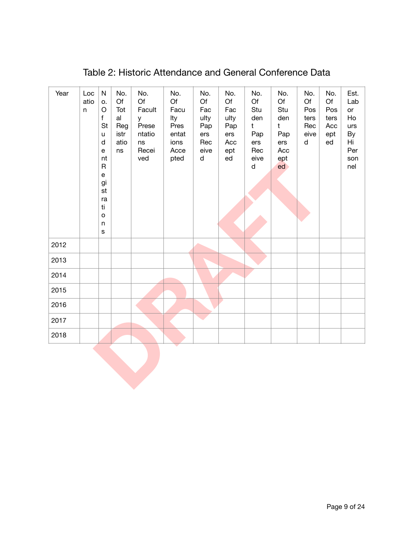<span id="page-8-0"></span>Table 2: Historic Attendance and General Conference Data

| Year | Loc<br>atio<br>$\mathsf{n}$ | ${\sf N}$<br>о.<br>$\circ$<br>f<br>St<br>u<br>$\sf d$<br>$\mathsf{e}% _{t}\left( \mathsf{e}\right)$<br>nt<br>$\sf R$<br>$\mathsf{e}% _{t}\left( \mathsf{e}\right)$<br>gi<br>st<br>ra<br>ti<br>$\mathsf{o}$<br>$\sf n$<br>$\mathbf S$ | No.<br>Of<br>Tot<br>al<br>Reg<br>istr<br>atio<br>ns | No.<br>Of<br>Facult<br>y<br>Prese<br>ntatio<br>ns<br>Recei<br>ved | No.<br>Of<br>Facu<br>Ity<br>Pres<br>entat<br>ions<br>Acce<br>pted | No.<br>Of<br>Fac<br>ulty<br>Pap<br>ers<br>Rec<br>eive<br>$\sf d$ | No.<br>Of<br>Fac<br>ulty<br>Pap<br>ers<br>Acc<br>ept<br>ed | No.<br>Of<br>Stu<br>den<br>$\mathsf t$<br>Pap<br>ers<br>Rec<br>eive<br>$\sf d$ | No.<br>Of<br>Stu<br>den<br>t<br>Pap<br>ers<br>Acc<br>ept<br>ed | No.<br>Of<br>Pos<br>ters<br>Rec<br>eive<br>d | No.<br>Of<br>Pos<br>ters<br>Acc<br>ept<br>ed | Est.<br>Lab<br>or<br>Ho<br>urs<br>By<br>Hi<br>Per<br>son<br>nel |
|------|-----------------------------|--------------------------------------------------------------------------------------------------------------------------------------------------------------------------------------------------------------------------------------|-----------------------------------------------------|-------------------------------------------------------------------|-------------------------------------------------------------------|------------------------------------------------------------------|------------------------------------------------------------|--------------------------------------------------------------------------------|----------------------------------------------------------------|----------------------------------------------|----------------------------------------------|-----------------------------------------------------------------|
| 2012 |                             |                                                                                                                                                                                                                                      |                                                     |                                                                   |                                                                   |                                                                  |                                                            |                                                                                |                                                                |                                              |                                              |                                                                 |
| 2013 |                             |                                                                                                                                                                                                                                      |                                                     |                                                                   |                                                                   |                                                                  |                                                            |                                                                                |                                                                |                                              |                                              |                                                                 |
| 2014 |                             |                                                                                                                                                                                                                                      |                                                     |                                                                   |                                                                   |                                                                  |                                                            |                                                                                |                                                                |                                              |                                              |                                                                 |
| 2015 |                             |                                                                                                                                                                                                                                      |                                                     |                                                                   |                                                                   |                                                                  |                                                            |                                                                                |                                                                |                                              |                                              |                                                                 |
| 2016 |                             |                                                                                                                                                                                                                                      |                                                     |                                                                   |                                                                   |                                                                  |                                                            |                                                                                |                                                                |                                              |                                              |                                                                 |
| 2017 |                             |                                                                                                                                                                                                                                      |                                                     |                                                                   |                                                                   |                                                                  |                                                            |                                                                                |                                                                |                                              |                                              |                                                                 |
| 2018 |                             |                                                                                                                                                                                                                                      |                                                     |                                                                   |                                                                   |                                                                  |                                                            |                                                                                |                                                                |                                              |                                              |                                                                 |
|      |                             |                                                                                                                                                                                                                                      |                                                     |                                                                   |                                                                   |                                                                  |                                                            |                                                                                |                                                                |                                              |                                              |                                                                 |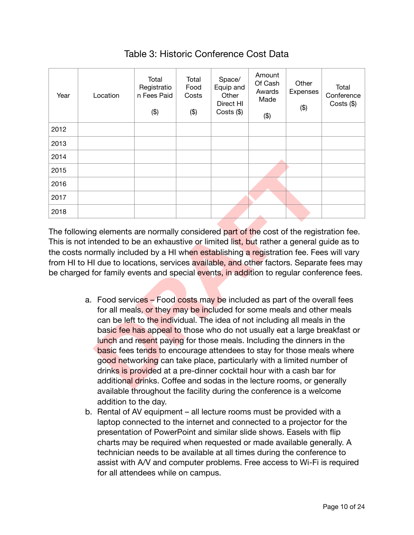| Year | Location | Total<br>Registratio<br>n Fees Paid<br>$(\$)$ | Total<br>Food<br>Costs<br>( \$ ) | Space/<br>Equip and<br>Other<br>Direct HI<br>Costs $(\$)$ | Amount<br>Of Cash<br>Awards<br>Made<br>$(\$)$ | Other<br>Expenses<br>( \$ ) | Total<br>Conference<br>Costs $(\$)$ |
|------|----------|-----------------------------------------------|----------------------------------|-----------------------------------------------------------|-----------------------------------------------|-----------------------------|-------------------------------------|
| 2012 |          |                                               |                                  |                                                           |                                               |                             |                                     |
| 2013 |          |                                               |                                  |                                                           |                                               |                             |                                     |
| 2014 |          |                                               |                                  |                                                           |                                               |                             |                                     |
| 2015 |          |                                               |                                  |                                                           |                                               |                             |                                     |
| 2016 |          |                                               |                                  |                                                           |                                               |                             |                                     |
| 2017 |          |                                               |                                  |                                                           |                                               |                             |                                     |
| 2018 |          |                                               |                                  |                                                           |                                               |                             |                                     |

<span id="page-9-0"></span>Table 3: Historic Conference Cost Data

The following elements are normally considered part of the cost of the registration fee. This is not intended to be an exhaustive or limited list, but rather a general guide as to the costs normally included by a HI when establishing a registration fee. Fees will vary from HI to HI due to locations, services available, and other factors. Separate fees may be charged for family events and special events, in addition to regular conference fees.

- g elements are normally considered part of the cost of the registered to be an exhaustive or limited list, but rather a general g rmally included by a HI when establishing a registration fee. Feel due to locations, service a. Food services – Food costs may be included as part of the overall fees for all meals, or they may be included for some meals and other meals can be left to the individual. The idea of not including all meals in the basic fee has appeal to those who do not usually eat a large breakfast or lunch and resent paying for those meals. Including the dinners in the basic fees tends to encourage attendees to stay for those meals where good networking can take place, particularly with a limited number of drinks is provided at a pre-dinner cocktail hour with a cash bar for additional drinks. Coffee and sodas in the lecture rooms, or generally available throughout the facility during the conference is a welcome addition to the day.
- b. Rental of AV equipment all lecture rooms must be provided with a laptop connected to the internet and connected to a projector for the presentation of PowerPoint and similar slide shows. Easels with flip charts may be required when requested or made available generally. A technician needs to be available at all times during the conference to assist with A/V and computer problems. Free access to Wi-Fi is required for all attendees while on campus.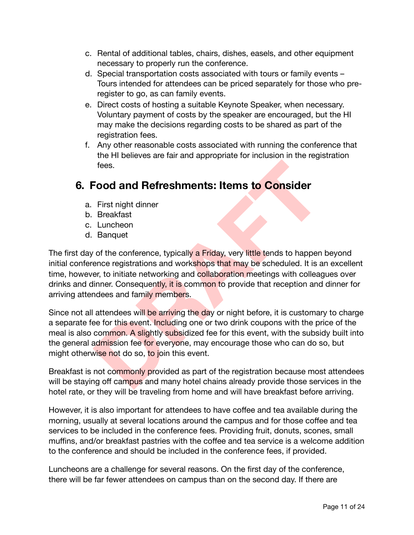- c. Rental of additional tables, chairs, dishes, easels, and other equipment necessary to properly run the conference.
- d. Special transportation costs associated with tours or family events Tours intended for attendees can be priced separately for those who preregister to go, as can family events.
- e. Direct costs of hosting a suitable Keynote Speaker, when necessary. Voluntary payment of costs by the speaker are encouraged, but the HI may make the decisions regarding costs to be shared as part of the registration fees.
- f. Any other reasonable costs associated with running the conference that the HI believes are fair and appropriate for inclusion in the registration fees.

#### <span id="page-10-0"></span>**6. Food and Refreshments: Items to Consider**

- a. First night dinner
- b. Breakfast
- c. Luncheon
- d. Banquet

Feas.<br>
Food and Refreshments: Items to Consider<br>
First night dinner<br>
Breakfast<br>
Luncheon<br>
Banquet<br>
of the conference, typically a Friday, very little tends to happen<br>
ence registrations and workshops that may be scheduled. The first day of the conference, typically a Friday, very little tends to happen beyond initial conference registrations and workshops that may be scheduled. It is an excellent time, however, to initiate networking and collaboration meetings with colleagues over drinks and dinner. Consequently, it is common to provide that reception and dinner for arriving attendees and family members.

Since not all attendees will be arriving the day or night before, it is customary to charge a separate fee for this event. Including one or two drink coupons with the price of the meal is also common. A slightly subsidized fee for this event, with the subsidy built into the general admission fee for everyone, may encourage those who can do so, but might otherwise not do so, to join this event.

Breakfast is not commonly provided as part of the registration because most attendees will be staying off campus and many hotel chains already provide those services in the hotel rate, or they will be traveling from home and will have breakfast before arriving.

However, it is also important for attendees to have coffee and tea available during the morning, usually at several locations around the campus and for those coffee and tea services to be included in the conference fees. Providing fruit, donuts, scones, small muffins, and/or breakfast pastries with the coffee and tea service is a welcome addition to the conference and should be included in the conference fees, if provided.

Luncheons are a challenge for several reasons. On the first day of the conference, there will be far fewer attendees on campus than on the second day. If there are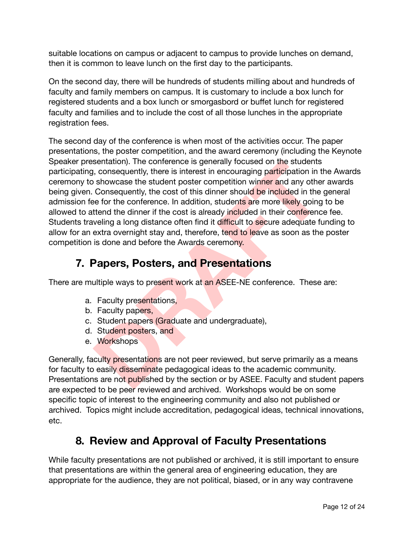suitable locations on campus or adjacent to campus to provide lunches on demand, then it is common to leave lunch on the first day to the participants.

On the second day, there will be hundreds of students milling about and hundreds of faculty and family members on campus. It is customary to include a box lunch for registered students and a box lunch or smorgasbord or buffet lunch for registered faculty and families and to include the cost of all those lunches in the appropriate registration fees.

sentation). The conference is generally focused on the students<br>
, consequently, there is interest in encouraging participation in the<br>
showcase the student poster competition winner and any other<br>
Showcase the student pos The second day of the conference is when most of the activities occur. The paper presentations, the poster competition, and the award ceremony (including the Keynote Speaker presentation). The conference is generally focused on the students participating, consequently, there is interest in encouraging participation in the Awards ceremony to showcase the student poster competition winner and any other awards being given. Consequently, the cost of this dinner should be included in the general admission fee for the conference. In addition, students are more likely going to be allowed to attend the dinner if the cost is already included in their conference fee. Students traveling a long distance often find it difficult to secure adequate funding to allow for an extra overnight stay and, therefore, tend to leave as soon as the poster competition is done and before the Awards ceremony.

#### <span id="page-11-0"></span>**7. Papers, Posters, and Presentations**

There are multiple ways to present work at an ASEE-NE conference. These are:

- a. Faculty presentations,
- b. Faculty papers,
- c. Student papers (Graduate and undergraduate),
- d. Student posters, and
- e. Workshops

Generally, faculty presentations are not peer reviewed, but serve primarily as a means for faculty to easily disseminate pedagogical ideas to the academic community. Presentations are not published by the section or by ASEE. Faculty and student papers are expected to be peer reviewed and archived. Workshops would be on some specific topic of interest to the engineering community and also not published or archived. Topics might include accreditation, pedagogical ideas, technical innovations, etc.

#### <span id="page-11-1"></span>**8. Review and Approval of Faculty Presentations**

While faculty presentations are not published or archived, it is still important to ensure that presentations are within the general area of engineering education, they are appropriate for the audience, they are not political, biased, or in any way contravene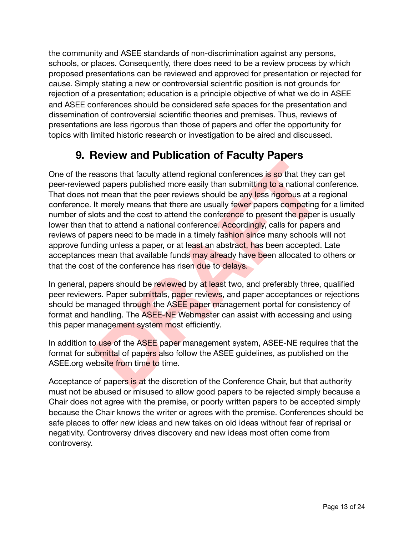the community and ASEE standards of non-discrimination against any persons, schools, or places. Consequently, there does need to be a review process by which proposed presentations can be reviewed and approved for presentation or rejected for cause. Simply stating a new or controversial scientific position is not grounds for rejection of a presentation; education is a principle objective of what we do in ASEE and ASEE conferences should be considered safe spaces for the presentation and dissemination of controversial scientific theories and premises. Thus, reviews of presentations are less rigorous than those of papers and offer the opportunity for topics with limited historic research or investigation to be aired and discussed.

## <span id="page-12-0"></span>**9. Review and Publication of Faculty Papers**

because that faculty attend regional conferences is so that they cal papers published more easily than submitting to a national cot mean that the peer reviews should be any less rigorous at a relation of the merly means th One of the reasons that faculty attend regional conferences is so that they can get peer-reviewed papers published more easily than submitting to a national conference. That does not mean that the peer reviews should be any less rigorous at a regional conference. It merely means that there are usually fewer papers competing for a limited number of slots and the cost to attend the conference to present the paper is usually lower than that to attend a national conference. Accordingly, calls for papers and reviews of papers need to be made in a timely fashion since many schools will not approve funding unless a paper, or at least an abstract, has been accepted. Late acceptances mean that available funds may already have been allocated to others or that the cost of the conference has risen due to delays.

In general, papers should be reviewed by at least two, and preferably three, qualified peer reviewers. Paper submittals, paper reviews, and paper acceptances or rejections should be managed through the ASEE paper management portal for consistency of format and handling. The ASEE-NE Webmaster can assist with accessing and using this paper management system most efficiently.

In addition to use of the ASEE paper management system, ASEE-NE requires that the format for submittal of papers also follow the ASEE guidelines, as published on the ASEE.org website from time to time.

Acceptance of papers is at the discretion of the Conference Chair, but that authority must not be abused or misused to allow good papers to be rejected simply because a Chair does not agree with the premise, or poorly written papers to be accepted simply because the Chair knows the writer or agrees with the premise. Conferences should be safe places to offer new ideas and new takes on old ideas without fear of reprisal or negativity. Controversy drives discovery and new ideas most often come from controversy.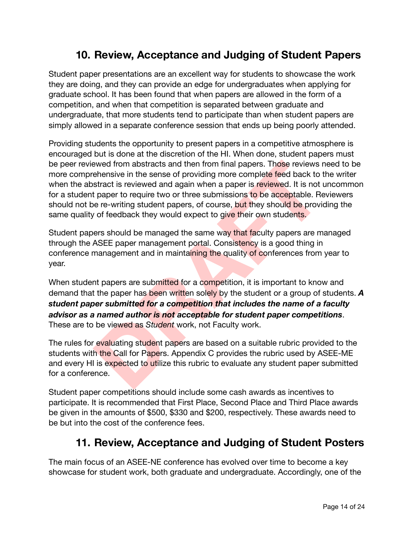#### <span id="page-13-0"></span>**10. Review, Acceptance and Judging of Student Papers**

Student paper presentations are an excellent way for students to showcase the work they are doing, and they can provide an edge for undergraduates when applying for graduate school. It has been found that when papers are allowed in the form of a competition, and when that competition is separated between graduate and undergraduate, that more students tend to participate than when student papers are simply allowed in a separate conference session that ends up being poorly attended.

example the sense of providing more complete feed back to stract is reviewed and again when a paper is reviewed and again when a paper is reviewed. It is not traper to require two or three submissions to be acceptable. Ref Providing students the opportunity to present papers in a competitive atmosphere is encouraged but is done at the discretion of the HI. When done, student papers must be peer reviewed from abstracts and then from final papers. Those reviews need to be more comprehensive in the sense of providing more complete feed back to the writer when the abstract is reviewed and again when a paper is reviewed. It is not uncommon for a student paper to require two or three submissions to be acceptable. Reviewers should not be re-writing student papers, of course, but they should be providing the same quality of feedback they would expect to give their own students.

Student papers should be managed the same way that faculty papers are managed through the ASEE paper management portal. Consistency is a good thing in conference management and in maintaining the quality of conferences from year to year.

When student papers are submitted for a competition, it is important to know and demand that the paper has been written solely by the student or a group of students. *A student paper submitted for a competition that includes the name of a faculty advisor as a named author is not acceptable for student paper competitions*. These are to be viewed as *Student* work, not Faculty work.

The rules for evaluating student papers are based on a suitable rubric provided to the students with the Call for Papers. Appendix C provides the rubric used by ASEE-ME and every HI is expected to utilize this rubric to evaluate any student paper submitted for a conference.

Student paper competitions should include some cash awards as incentives to participate. It is recommended that First Place, Second Place and Third Place awards be given in the amounts of \$500, \$330 and \$200, respectively. These awards need to be but into the cost of the conference fees.

## <span id="page-13-1"></span>**11. Review, Acceptance and Judging of Student Posters**

The main focus of an ASEE-NE conference has evolved over time to become a key showcase for student work, both graduate and undergraduate. Accordingly, one of the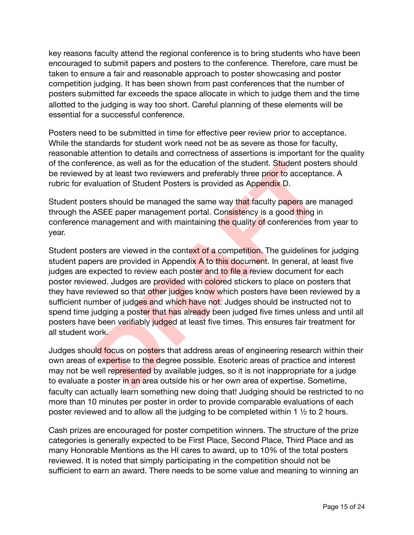key reasons faculty attend the regional conference is to bring students who have been encouraged to submit papers and posters to the conference. Therefore, care must be taken to ensure a fair and reasonable approach to poster showcasing and poster competition judging. It has been shown from past conferences that the number of posters submitted far exceeds the space allocate in which to judge them and the time allotted to the judging is way too short. Careful planning of these elements will be essential for a successful conference.

Posters need to be submitted in time for effective peer review prior to acceptance. While the standards for student work need not be as severe as those for faculty, reasonable attention to details and correctness of assertions is important for the quality of the conference, as well as for the education of the student. Student posters should be reviewed by at least two reviewers and preferably three prior to acceptance. A rubric for evaluation of Student Posters is provided as Appendix D.

Student posters should be managed the same way that faculty papers are managed through the ASEE paper management portal. Consistency is a good thing in conference management and with maintaining the quality of conferences from year to year.

rence, as well as for the education of the student. Student poste<br>by at least two reviewers and preferably three prior to acceptan<br>aluation of Student Posters is provided as Appendix D.<br>ters should be managed the same way Student posters are viewed in the context of a competition. The guidelines for judging student papers are provided in Appendix A to this document. In general, at least five judges are expected to review each poster and to file a review document for each poster reviewed. Judges are provided with colored stickers to place on posters that they have reviewed so that other judges know which posters have been reviewed by a sufficient number of judges and which have not. Judges should be instructed not to spend time judging a poster that has already been judged five times unless and until all posters have been verifiably judged at least five times. This ensures fair treatment for all student work.

Judges should focus on posters that address areas of engineering research within their own areas of expertise to the degree possible. Esoteric areas of practice and interest may not be well represented by available judges, so it is not inappropriate for a judge to evaluate a poster in an area outside his or her own area of expertise. Sometime, faculty can actually learn something new doing that! Judging should be restricted to no more than 10 minutes per poster in order to provide comparable evaluations of each poster reviewed and to allow all the judging to be completed within 1 ½ to 2 hours.

Cash prizes are encouraged for poster competition winners. The structure of the prize categories is generally expected to be First Place, Second Place, Third Place and as many Honorable Mentions as the HI cares to award, up to 10% of the total posters reviewed. It is noted that simply participating in the competition should not be sufficient to earn an award. There needs to be some value and meaning to winning an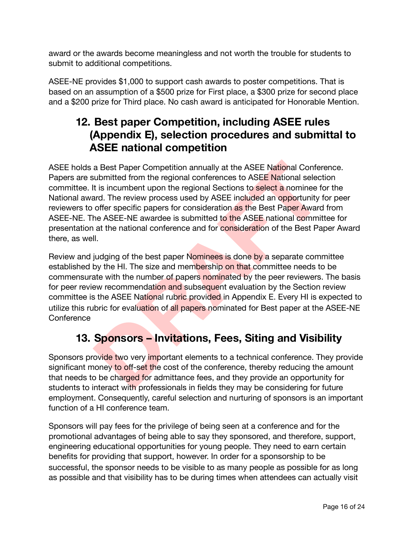award or the awards become meaningless and not worth the trouble for students to submit to additional competitions.

ASEE-NE provides \$1,000 to support cash awards to poster competitions. That is based on an assumption of a \$500 prize for First place, a \$300 prize for second place and a \$200 prize for Third place. No cash award is anticipated for Honorable Mention.

## <span id="page-15-0"></span>**12. Best paper Competition, including ASEE rules (Appendix E), selection procedures and submittal to ASEE national competition**

a Best Paper Competition annually at the ASEE National Confer<br>
ubmitted from the regional conferences to ASEE National select<br>
t is incumbent upon the regional Sections to select a nominee for<br>
ard. The review process used ASEE holds a Best Paper Competition annually at the ASEE National Conference. Papers are submitted from the regional conferences to ASEE National selection committee. It is incumbent upon the regional Sections to select a nominee for the National award. The review process used by ASEE included an opportunity for peer reviewers to offer specific papers for consideration as the Best Paper Award from ASEE-NE. The ASEE-NE awardee is submitted to the ASEE national committee for presentation at the national conference and for consideration of the Best Paper Award there, as well.

Review and judging of the best paper Nominees is done by a separate committee established by the HI. The size and membership on that committee needs to be commensurate with the number of papers nominated by the peer reviewers. The basis for peer review recommendation and subsequent evaluation by the Section review committee is the ASEE National rubric provided in Appendix E. Every HI is expected to utilize this rubric for evaluation of all papers nominated for Best paper at the ASEE-NE Conference

## <span id="page-15-1"></span>**13. Sponsors – Invitations, Fees, Siting and Visibility**

Sponsors provide two very important elements to a technical conference. They provide significant money to off-set the cost of the conference, thereby reducing the amount that needs to be charged for admittance fees, and they provide an opportunity for students to interact with professionals in fields they may be considering for future employment. Consequently, careful selection and nurturing of sponsors is an important function of a HI conference team.

Sponsors will pay fees for the privilege of being seen at a conference and for the promotional advantages of being able to say they sponsored, and therefore, support, engineering educational opportunities for young people. They need to earn certain benefits for providing that support, however. In order for a sponsorship to be successful, the sponsor needs to be visible to as many people as possible for as long as possible and that visibility has to be during times when attendees can actually visit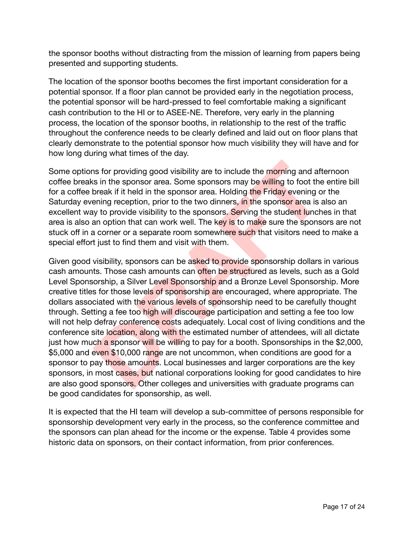the sponsor booths without distracting from the mission of learning from papers being presented and supporting students.

The location of the sponsor booths becomes the first important consideration for a potential sponsor. If a floor plan cannot be provided early in the negotiation process, the potential sponsor will be hard-pressed to feel comfortable making a significant cash contribution to the HI or to ASEE-NE. Therefore, very early in the planning process, the location of the sponsor booths, in relationship to the rest of the traffic throughout the conference needs to be clearly defined and laid out on floor plans that clearly demonstrate to the potential sponsor how much visibility they will have and for how long during what times of the day.

Some options for providing good visibility are to include the morning and afternoon coffee breaks in the sponsor area. Some sponsors may be willing to foot the entire bill for a coffee break if it held in the sponsor area. Holding the Friday evening or the Saturday evening reception, prior to the two dinners, in the sponsor area is also an excellent way to provide visibility to the sponsors. Serving the student lunches in that area is also an option that can work well. The key is to make sure the sponsors are not stuck off in a corner or a separate room somewhere such that visitors need to make a special effort just to find them and visit with them.

Ins for providing good visibility are to include the morning and aft<br>s in the sponsor area. Some sponsors may be willing to foot the<br>break if it held in the sponsor area. Holding the Friday evening o<br>origing reception, pri Given good visibility, sponsors can be asked to provide sponsorship dollars in various cash amounts. Those cash amounts can often be structured as levels, such as a Gold Level Sponsorship, a Silver Level Sponsorship and a Bronze Level Sponsorship. More creative titles for those levels of sponsorship are encouraged, where appropriate. The dollars associated with the various levels of sponsorship need to be carefully thought through. Setting a fee too high will discourage participation and setting a fee too low will not help defray conference costs adequately. Local cost of living conditions and the conference site location, along with the estimated number of attendees, will all dictate just how much a sponsor will be willing to pay for a booth. Sponsorships in the \$2,000, \$5,000 and even \$10,000 range are not uncommon, when conditions are good for a sponsor to pay those amounts. Local businesses and larger corporations are the key sponsors, in most cases, but national corporations looking for good candidates to hire are also good sponsors. Other colleges and universities with graduate programs can be good candidates for sponsorship, as well.

It is expected that the HI team will develop a sub-committee of persons responsible for sponsorship development very early in the process, so the conference committee and the sponsors can plan ahead for the income or the expense. Table 4 provides some historic data on sponsors, on their contact information, from prior conferences.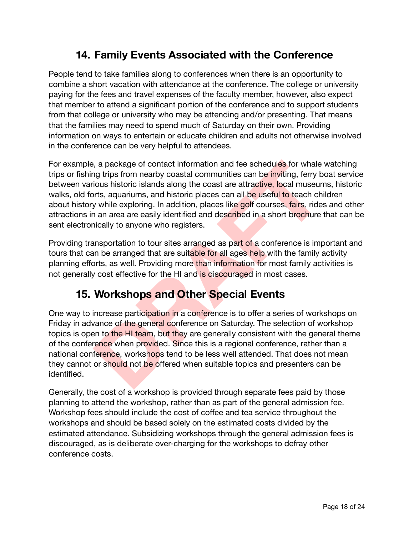## <span id="page-17-0"></span>**14. Family Events Associated with the Conference**

People tend to take families along to conferences when there is an opportunity to combine a short vacation with attendance at the conference. The college or university paying for the fees and travel expenses of the faculty member, however, also expect that member to attend a significant portion of the conference and to support students from that college or university who may be attending and/or presenting. That means that the families may need to spend much of Saturday on their own. Providing information on ways to entertain or educate children and adults not otherwise involved in the conference can be very helpful to attendees.

For example, a package of contact information and fee schedules for whale watching trips or fishing trips from nearby coastal communities can be inviting, ferry boat service between various historic islands along the coast are attractive, local museums, historic walks, old forts, aquariums, and historic places can all be useful to teach children about history while exploring. In addition, places like golf courses, fairs, rides and other attractions in an area are easily identified and described in a short brochure that can be sent electronically to anyone who registers.

Providing transportation to tour sites arranged as part of a conference is important and tours that can be arranged that are suitable for all ages help with the family activity planning efforts, as well. Providing more than information for most family activities is not generally cost effective for the HI and is discouraged in most cases.

## <span id="page-17-1"></span>**15. Workshops and Other Special Events**

is, a package of contact information and fee schedules for whale<br>g trips from nearby coastal communities can be inviting, ferry b<br>ious historic islands along the coast are attractive, local museum<br>that, aquariums, and hist One way to increase participation in a conference is to offer a series of workshops on Friday in advance of the general conference on Saturday. The selection of workshop topics is open to the HI team, but they are generally consistent with the general theme of the conference when provided. Since this is a regional conference, rather than a national conference, workshops tend to be less well attended. That does not mean they cannot or should not be offered when suitable topics and presenters can be identified.

Generally, the cost of a workshop is provided through separate fees paid by those planning to attend the workshop, rather than as part of the general admission fee. Workshop fees should include the cost of coffee and tea service throughout the workshops and should be based solely on the estimated costs divided by the estimated attendance. Subsidizing workshops through the general admission fees is discouraged, as is deliberate over-charging for the workshops to defray other conference costs.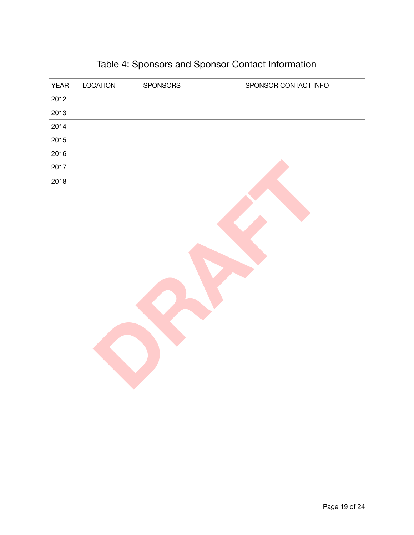| <b>YEAR</b> | LOCATION | <b>SPONSORS</b> | SPONSOR CONTACT INFO |  |  |  |  |
|-------------|----------|-----------------|----------------------|--|--|--|--|
| 2012        |          |                 |                      |  |  |  |  |
| 2013        |          |                 |                      |  |  |  |  |
| 2014        |          |                 |                      |  |  |  |  |
| 2015        |          |                 |                      |  |  |  |  |
| 2016        |          |                 |                      |  |  |  |  |
| 2017        |          |                 |                      |  |  |  |  |
| 2018        |          |                 |                      |  |  |  |  |
|             |          |                 |                      |  |  |  |  |

# Table 4: Sponsors and Sponsor Contact Information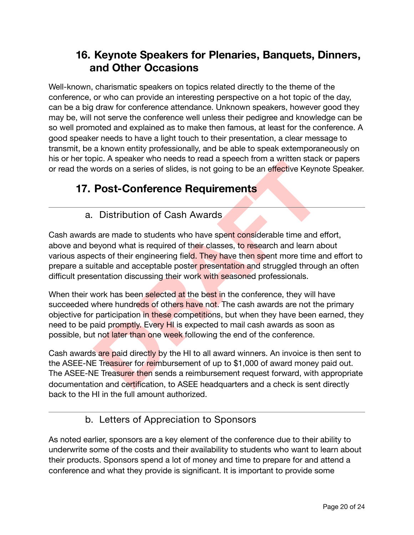#### <span id="page-19-0"></span>**16. Keynote Speakers for Plenaries, Banquets, Dinners, and Other Occasions**

Well-known, charismatic speakers on topics related directly to the theme of the conference, or who can provide an interesting perspective on a hot topic of the day, can be a big draw for conference attendance. Unknown speakers, however good they may be, will not serve the conference well unless their pedigree and knowledge can be so well promoted and explained as to make then famous, at least for the conference. A good speaker needs to have a light touch to their presentation, a clear message to transmit, be a known entity professionally, and be able to speak extemporaneously on his or her topic. A speaker who needs to read a speech from a written stack or papers or read the words on a series of slides, is not going to be an effective Keynote Speaker.

## <span id="page-19-1"></span>**17. Post-Conference Requirements**

#### <span id="page-19-2"></span>a. Distribution of Cash Awards

From A speaker wind resides to lead a speedmolin a winter stack<br>words on a series of slides, is not going to be an effective Keyno<br>**Post-Conference Requirements**<br>Distribution of Cash Awards<br>s are made to students who have Cash awards are made to students who have spent considerable time and effort, above and beyond what is required of their classes, to research and learn about various aspects of their engineering field. They have then spent more time and effort to prepare a suitable and acceptable poster presentation and struggled through an often difficult presentation discussing their work with seasoned professionals.

When their work has been selected at the best in the conference, they will have succeeded where hundreds of others have not. The cash awards are not the primary objective for participation in these competitions, but when they have been earned, they need to be paid promptly. Every HI is expected to mail cash awards as soon as possible, but not later than one week following the end of the conference.

Cash awards are paid directly by the HI to all award winners. An invoice is then sent to the ASEE-NE Treasurer for reimbursement of up to \$1,000 of award money paid out. The ASEE-NE Treasurer then sends a reimbursement request forward, with appropriate documentation and certification, to ASEE headquarters and a check is sent directly back to the HI in the full amount authorized.

#### <span id="page-19-3"></span>b. Letters of Appreciation to Sponsors

As noted earlier, sponsors are a key element of the conference due to their ability to underwrite some of the costs and their availability to students who want to learn about their products. Sponsors spend a lot of money and time to prepare for and attend a conference and what they provide is significant. It is important to provide some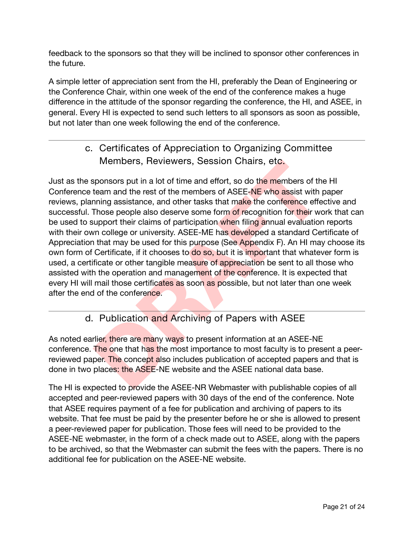feedback to the sponsors so that they will be inclined to sponsor other conferences in the future.

A simple letter of appreciation sent from the HI, preferably the Dean of Engineering or the Conference Chair, within one week of the end of the conference makes a huge difference in the attitude of the sponsor regarding the conference, the HI, and ASEE, in general. Every HI is expected to send such letters to all sponsors as soon as possible, but not later than one week following the end of the conference.

#### <span id="page-20-0"></span>c. Certificates of Appreciation to Organizing Committee Members, Reviewers, Session Chairs, etc.

Members, Heviewers, Session Chairs, etc.<br>sponsors put in a lot of time and effort, so do the members of the<br>team and the rest of the members of ASEE-NE who assist with p<br>ning assistance, and other tasks that make the confe Just as the sponsors put in a lot of time and effort, so do the members of the HI Conference team and the rest of the members of ASEE-NE who assist with paper reviews, planning assistance, and other tasks that make the conference effective and successful. Those people also deserve some form of recognition for their work that can be used to support their claims of participation when filing annual evaluation reports with their own college or university. ASEE-ME has developed a standard Certificate of Appreciation that may be used for this purpose (See Appendix F). An HI may choose its own form of Certificate, if it chooses to do so, but it is important that whatever form is used, a certificate or other tangible measure of appreciation be sent to all those who assisted with the operation and management of the conference. It is expected that every HI will mail those certificates as soon as possible, but not later than one week after the end of the conference.

#### <span id="page-20-1"></span>d. Publication and Archiving of Papers with ASEE

As noted earlier, there are many ways to present information at an ASEE-NE conference. The one that has the most importance to most faculty is to present a peerreviewed paper. The concept also includes publication of accepted papers and that is done in two places: the ASEE-NE website and the ASEE national data base.

The HI is expected to provide the ASEE-NR Webmaster with publishable copies of all accepted and peer-reviewed papers with 30 days of the end of the conference. Note that ASEE requires payment of a fee for publication and archiving of papers to its website. That fee must be paid by the presenter before he or she is allowed to present a peer-reviewed paper for publication. Those fees will need to be provided to the ASEE-NE webmaster, in the form of a check made out to ASEE, along with the papers to be archived, so that the Webmaster can submit the fees with the papers. There is no additional fee for publication on the ASEE-NE website.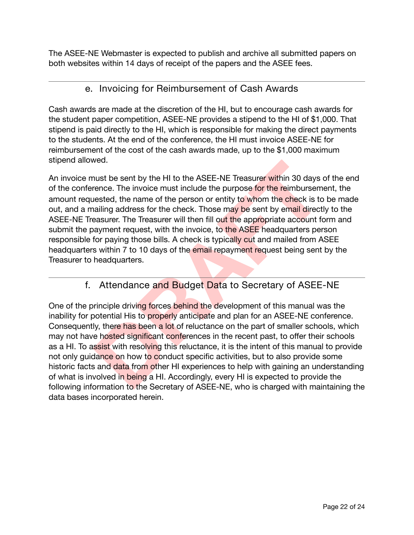The ASEE-NE Webmaster is expected to publish and archive all submitted papers on both websites within 14 days of receipt of the papers and the ASEE fees.

#### <span id="page-21-0"></span>e. Invoicing for Reimbursement of Cash Awards

Cash awards are made at the discretion of the HI, but to encourage cash awards for the student paper competition, ASEE-NE provides a stipend to the HI of \$1,000. That stipend is paid directly to the HI, which is responsible for making the direct payments to the students. At the end of the conference, the HI must invoice ASEE-NE for reimbursement of the cost of the cash awards made, up to the \$1,000 maximum stipend allowed.

wed.<br>
wed.<br>
wed.<br>
the sent by the HI to the ASEE-NE Treasurer within 30 days<br>
rence. The invoice must include the purpose for the reimbursem<br>
lessed, the name of the person or entity to whom the check is to<br>
aliling addres An invoice must be sent by the HI to the ASEE-NE Treasurer within 30 days of the end of the conference. The invoice must include the purpose for the reimbursement, the amount requested, the name of the person or entity to whom the check is to be made out, and a mailing address for the check. Those may be sent by email directly to the ASEE-NE Treasurer. The Treasurer will then fill out the appropriate account form and submit the payment request, with the invoice, to the ASEE headquarters person responsible for paying those bills. A check is typically cut and mailed from ASEE headquarters within 7 to 10 days of the email repayment request being sent by the Treasurer to headquarters.

#### <span id="page-21-1"></span>f. Attendance and Budget Data to Secretary of ASEE-NE

One of the principle driving forces behind the development of this manual was the inability for potential His to properly anticipate and plan for an ASEE-NE conference. Consequently, there has been a lot of reluctance on the part of smaller schools, which may not have hosted significant conferences in the recent past, to offer their schools as a HI. To assist with resolving this reluctance, it is the intent of this manual to provide not only guidance on how to conduct specific activities, but to also provide some historic facts and data from other HI experiences to help with gaining an understanding of what is involved in being a HI. Accordingly, every HI is expected to provide the following information to the Secretary of ASEE-NE, who is charged with maintaining the data bases incorporated herein.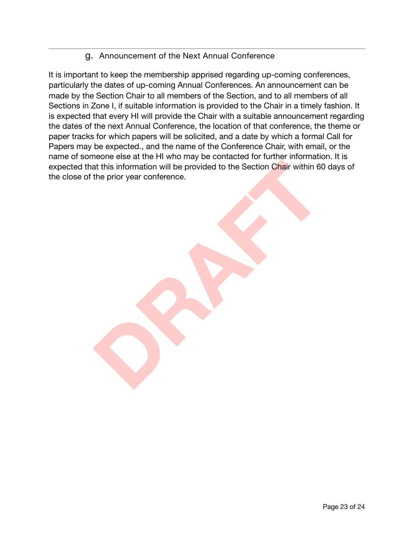#### <span id="page-22-0"></span>g. Announcement of the Next Annual Conference

at this information will be provided to the Section Chair within 60<br>the prior year conference.<br> **DRAFT** It is important to keep the membership apprised regarding up-coming conferences, particularly the dates of up-coming Annual Conferences. An announcement can be made by the Section Chair to all members of the Section, and to all members of all Sections in Zone I, if suitable information is provided to the Chair in a timely fashion. It is expected that every HI will provide the Chair with a suitable announcement regarding the dates of the next Annual Conference, the location of that conference, the theme or paper tracks for which papers will be solicited, and a date by which a formal Call for Papers may be expected., and the name of the Conference Chair, with email, or the name of someone else at the HI who may be contacted for further information. It is expected that this information will be provided to the Section Chair within 60 days of the close of the prior year conference.